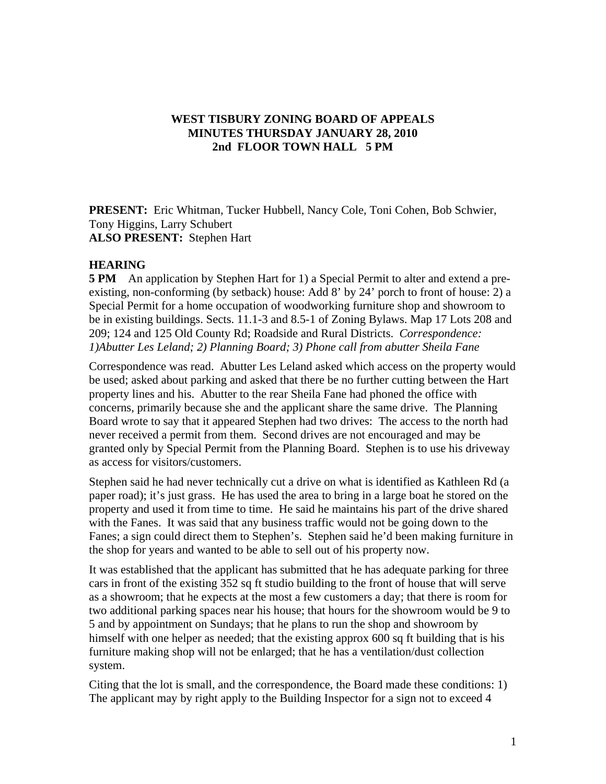## **WEST TISBURY ZONING BOARD OF APPEALS MINUTES THURSDAY JANUARY 28, 2010 2nd FLOOR TOWN HALL 5 PM**

**PRESENT:** Eric Whitman, Tucker Hubbell, Nancy Cole, Toni Cohen, Bob Schwier, Tony Higgins, Larry Schubert **ALSO PRESENT:** Stephen Hart

## **HEARING**

**5 PM** An application by Stephen Hart for 1) a Special Permit to alter and extend a preexisting, non-conforming (by setback) house: Add 8' by 24' porch to front of house: 2) a Special Permit for a home occupation of woodworking furniture shop and showroom to be in existing buildings. Sects. 11.1-3 and 8.5-1 of Zoning Bylaws. Map 17 Lots 208 and 209; 124 and 125 Old County Rd; Roadside and Rural Districts. *Correspondence: 1)Abutter Les Leland; 2) Planning Board; 3) Phone call from abutter Sheila Fane* 

Correspondence was read. Abutter Les Leland asked which access on the property would be used; asked about parking and asked that there be no further cutting between the Hart property lines and his. Abutter to the rear Sheila Fane had phoned the office with concerns, primarily because she and the applicant share the same drive. The Planning Board wrote to say that it appeared Stephen had two drives: The access to the north had never received a permit from them. Second drives are not encouraged and may be granted only by Special Permit from the Planning Board. Stephen is to use his driveway as access for visitors/customers.

Stephen said he had never technically cut a drive on what is identified as Kathleen Rd (a paper road); it's just grass. He has used the area to bring in a large boat he stored on the property and used it from time to time. He said he maintains his part of the drive shared with the Fanes. It was said that any business traffic would not be going down to the Fanes; a sign could direct them to Stephen's. Stephen said he'd been making furniture in the shop for years and wanted to be able to sell out of his property now.

It was established that the applicant has submitted that he has adequate parking for three cars in front of the existing 352 sq ft studio building to the front of house that will serve as a showroom; that he expects at the most a few customers a day; that there is room for two additional parking spaces near his house; that hours for the showroom would be 9 to 5 and by appointment on Sundays; that he plans to run the shop and showroom by himself with one helper as needed; that the existing approx 600 sq ft building that is his furniture making shop will not be enlarged; that he has a ventilation/dust collection system.

Citing that the lot is small, and the correspondence, the Board made these conditions: 1) The applicant may by right apply to the Building Inspector for a sign not to exceed 4